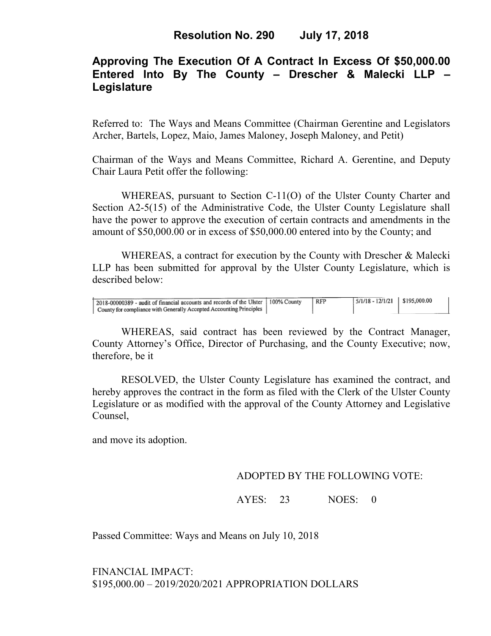# **Approving The Execution Of A Contract In Excess Of \$50,000.00 Entered Into By The County – Drescher & Malecki LLP – Legislature**

Referred to: The Ways and Means Committee (Chairman Gerentine and Legislators Archer, Bartels, Lopez, Maio, James Maloney, Joseph Maloney, and Petit)

Chairman of the Ways and Means Committee, Richard A. Gerentine, and Deputy Chair Laura Petit offer the following:

WHEREAS, pursuant to Section C-11(O) of the Ulster County Charter and Section A2-5(15) of the Administrative Code, the Ulster County Legislature shall have the power to approve the execution of certain contracts and amendments in the amount of \$50,000.00 or in excess of \$50,000.00 entered into by the County; and

 WHEREAS, a contract for execution by the County with Drescher & Malecki LLP has been submitted for approval by the Ulster County Legislature, which is described below:

| 2018-00000389 - audit of financial accounts and records of the Ulster   100% County<br>County for compliance with Generally Accepted Accounting Principles | l RFP | $5/1/18 - 12/1/21$ \$195,000.00 |  |
|------------------------------------------------------------------------------------------------------------------------------------------------------------|-------|---------------------------------|--|
|                                                                                                                                                            |       |                                 |  |

WHEREAS, said contract has been reviewed by the Contract Manager, County Attorney's Office, Director of Purchasing, and the County Executive; now, therefore, be it

RESOLVED, the Ulster County Legislature has examined the contract, and hereby approves the contract in the form as filed with the Clerk of the Ulster County Legislature or as modified with the approval of the County Attorney and Legislative Counsel,

and move its adoption.

### ADOPTED BY THE FOLLOWING VOTE:

AYES: 23 NOES: 0

Passed Committee: Ways and Means on July 10, 2018

FINANCIAL IMPACT: \$195,000.00 – 2019/2020/2021 APPROPRIATION DOLLARS